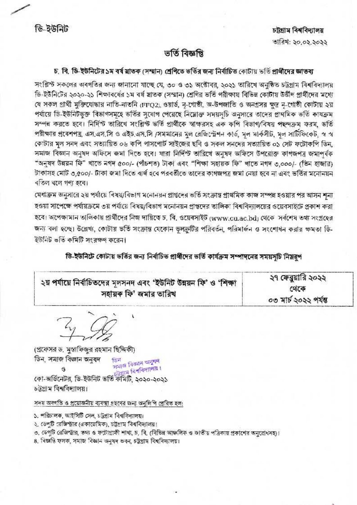ডি-ইউনিট

# ভৰ্তি বিজ্ঞপ্তি

# চ, বি, ডি-ইউনিটের ১ম বর্ষ মাতক (সম্মান) শ্রেণিতে ভর্তির জন্য নির্বাচিত কোটায় ভর্তি প্রার্থীদের জ্ঞাতব্য

সংশ্লিণ্ট সকলের অবগতির জন্য জানানো যাচ্ছে যে, ৩০ ও ৩১ অক্টোবর, ২০২১ তারিখে অনুষ্ঠিত চট্টগ্রাম বিশ্ববিদ্যালয় ডি-ইউনিটের ২০২০-২১ শিক্ষাবর্ষের ১ম বর্ষ স্লাতক (সম্মান) শ্রেণির ভর্তি পরীক্ষায় বিভিন্ন কোটায় উর্জীণ প্রার্থীদের মধ্যে যে সকল প্রার্থী মুক্তিযোদ্ধার নাতি-নাতনি (PPQ2) ওয়ার্ড, নৃ-গোষ্ঠী, অ-উপজাতি ও অনগ্রসর ক্ষুদ্র নৃ-গোষ্ঠী কোটায় ২য় পৰ্যায়ে ডি-ইউনিটভুক্ত বিভাগসমূহে ভৰ্তির সুযোগ পেয়েছে নিম্নোক্ত সময়সচি অনুসারে তাদের প্রাথমিক ভৰ্তি কাষক্রম সম্পন্ন করতে হবে। নির্দিন্ট তারিখে সংশ্লিন্ট ভর্তি প্রার্থীকে স্বাক্ষরসহ এক কপি বিভাগ/বিষয় পছন্দক্রম ফরম, ভর্তি পরীক্ষার প্রবেশপত্র, এস,এস,সি ও এইচ.এস.সি /সমমানের মূল রেজিস্ট্রেশন কার্ড, মূল মার্কসীট, মূল সার্টিফিকেট, স্ব স্ব কোটার মূল সনদ এবং সত্যায়িত ০৬ কপি পাসপোর্ট সাইজের ছবি ও সকল সনদের সত্যায়িত ০১ সেট ফটোকপি ডিন, সমাজ বিজ্ঞান অনুষদ অফিসে জমা দিতে হবে। যারা নির্দিন্ট তারিখে অনুষদ অফিসে উপরোক্ত কাণজপত্র জমাপূর্বক "অনুষদ উন্নয়ন ফি" খাতে নগদ ৫০০/- (পীচশত) টাকা এবং "শিক্ষা সহায়ক ফি" খাতে নগদ ৩.০০০/- (তিন হাজার) টাকাসহ মোট ৩,৫০০/- টাকা জমা দিতে ৰাৰ্থ হবে পৱৰৰ্তীতে তাদেৱ কাগজপত্ৰ জমা নেয়া হবে না এবং ভৰ্তির মনোনয়ন ব্হিল বলে গণ্য হবে।

মেধাক্রম অনুসারে ২য় পর্যায়ে বিষয়/বিভাগ মনোনয়ন প্রান্তদের ভর্তি সংক্রান্ত প্রার্থমিক কাজ সম্পন্ন হওয়ার পর আসন শন্য হওয়া সাপেক্ষে পর্যায়ক্রমে ৩য় পর্যায়ে বিষয়/বিভাগ মনোনয়ন প্রাপ্তদের ভালিকা বিশ্ববিদ্যালয়ের ওয়েবসাইটে প্রকাশ করা হবে। অপেক্ষামান তালিকায় প্রার্থীদের নিজ দায়িত্বে চ. বি. ওয়েবসাইট (www.cu.ac.bd) থেকে সর্বশেষ তথ্য সংগ্রহের জন্য বলা হচ্ছে। উল্লেখ্য, কোটায় ভর্তি সংক্রান্ত যেকোন ভুলক্রুটির পরিবর্তন, পরিমার্জন ও সংশোধন করার ক্ষমতা ডি-ইউনিট ভর্তি কমিটি সংরক্ষণ করেন।

ডি-ইউনিটে কোটায় ভর্তির জন্য নির্বাচিত প্রার্থীদের ভর্তি কার্যক্রম সম্পাদনের সময়সচি নিয়রপ

| ২য় পর্যায়ে নির্বাচিতদের মূলসনদ এবং 'ইউনিট উন্নয়ন ফি' ও 'শিক্ষা | ২৭ কেবুয়ার ২০২২      |
|-------------------------------------------------------------------|-----------------------|
| সহায়ক ফি' জমার তারিখ                                             | থেকে                  |
|                                                                   | ০৩ মার্চ ২০২২ পর্যন্ত |

(প্রফেসর ড. মুস্তাফিজুর রহমান ছিদ্দিকী) ডিন, সমাজ বিজ্ঞান অনুষদ **Tuber** 

াত্য<br>সমাজ বিজ্ঞান অনুষদ

ও সমাজ বিশ্ববিদ্যালয়।<br>কে:-অর্ডিনেটর, ডি-ইউনিট ভর্তি কমিটি, ২০২০-২০২১ চটগ্ৰাম বিশ্ববিদ্যালয়।

সদয় অবগতি ও প্রয়োজনীয় ব্যবস্থা গ্রহণের জন্য অনুশিপি প্রেরিত হল:

১. পরিচালক, আইসিটি সেল, চট্টগ্রাম বিশ্ববিদ্যালয়।

২. ভেপটি রেজিস্টার (একাডেমিক), চট্টগ্রাম বিশ্ববিদ্যালয়:

ত, ডেপুটি রেজিন্দ্রার, তথ্য ও ফটোগ্রাফী শাখা, চ. বি. (বিভিন্ন আঞ্চলিক ও জাতীয় পত্রিকায় প্রকাশের অনুরোধসহ)।

৪. বিজ্ঞপ্তি ফলক, সমাজ বিজ্ঞান অনুষদ ভবন, চট্টগ্ৰাম বিশ্ববিদ্যালয়।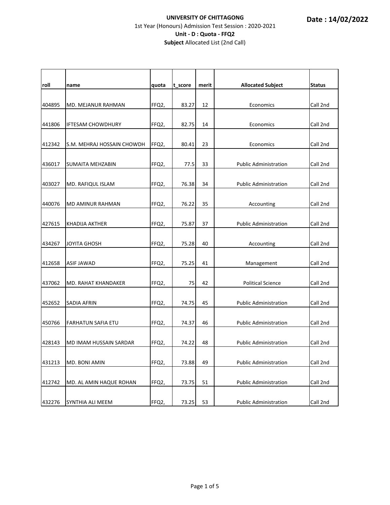| roll   | name                       | quota | t_score | merit | <b>Allocated Subject</b>     | <b>Status</b> |
|--------|----------------------------|-------|---------|-------|------------------------------|---------------|
| 404895 | MD. MEJANUR RAHMAN         | FFQ2. | 83.27   | 12    | Economics                    | Call 2nd      |
| 441806 | <b>IFTESAM CHOWDHURY</b>   | FFQ2, | 82.75   | 14    | Economics                    | Call 2nd      |
| 412342 | S.M. MEHRAJ HOSSAIN CHOWDH | FFQ2, | 80.41   | 23    | Economics                    | Call 2nd      |
| 436017 | SUMAITA MEHZABIN           | FFQ2, | 77.5    | 33    | <b>Public Administration</b> | Call 2nd      |
| 403027 | MD. RAFIQUL ISLAM          | FFQ2, | 76.38   | 34    | <b>Public Administration</b> | Call 2nd      |
| 440076 | MD AMINUR RAHMAN           | FFQ2, | 76.22   | 35    | Accounting                   | Call 2nd      |
| 427615 | KHADIJA AKTHER             | FFQ2, | 75.87   | 37    | <b>Public Administration</b> | Call 2nd      |
| 434267 | <b>JOYITA GHOSH</b>        | FFQ2, | 75.28   | 40    | Accounting                   | Call 2nd      |
| 412658 | ASIF JAWAD                 | FFQ2, | 75.25   | 41    | Management                   | Call 2nd      |
| 437062 | MD. RAHAT KHANDAKER        | FFQ2, | 75      | 42    | <b>Political Science</b>     | Call 2nd      |
| 452652 | SADIA AFRIN                | FFQ2, | 74.75   | 45    | <b>Public Administration</b> | Call 2nd      |
| 450766 | <b>FARHATUN SAFIA ETU</b>  | FFQ2, | 74.37   | 46    | <b>Public Administration</b> | Call 2nd      |
| 428143 | MD IMAM HUSSAIN SARDAR     | FFQ2, | 74.22   | 48    | <b>Public Administration</b> | Call 2nd      |
| 431213 | MD. BONI AMIN              | FFQ2, | 73.88   | 49    | <b>Public Administration</b> | Call 2nd      |
| 412742 | MD. AL AMIN HAQUE ROHAN    | FFQ2, | 73.75   | 51    | <b>Public Administration</b> | Call 2nd      |
| 432276 | SYNTHIA ALI MEEM           | FFQ2, | 73.25   | 53    | <b>Public Administration</b> | Call 2nd      |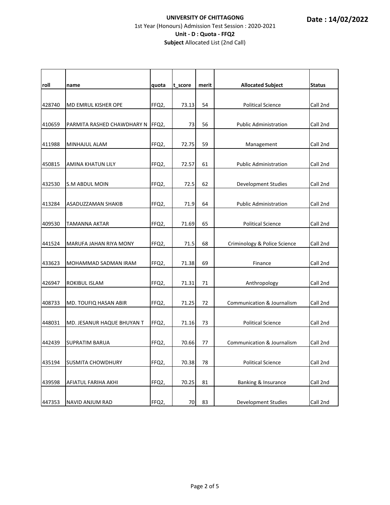| roll   | name                       | quota | t score | merit | <b>Allocated Subject</b>     | <b>Status</b> |
|--------|----------------------------|-------|---------|-------|------------------------------|---------------|
| 428740 | MD EMRUL KISHER OPE        | FFQ2, | 73.13   | 54    | <b>Political Science</b>     | Call 2nd      |
| 410659 | PARMITA RASHED CHAWDHARY N | FFQ2, | 73      | 56    | <b>Public Administration</b> | Call 2nd      |
| 411988 | MINHAJUL ALAM              | FFQ2, | 72.75   | 59    | Management                   | Call 2nd      |
| 450815 | AMINA KHATUN LILY          | FFQ2, | 72.57   | 61    | <b>Public Administration</b> | Call 2nd      |
| 432530 | <b>S.M ABDUL MOIN</b>      | FFQ2, | 72.5    | 62    | <b>Development Studies</b>   | Call 2nd      |
| 413284 | ASADUZZAMAN SHAKIB         | FFQ2, | 71.9    | 64    | <b>Public Administration</b> | Call 2nd      |
| 409530 | <b>TAMANNA AKTAR</b>       | FFQ2, | 71.69   | 65    | <b>Political Science</b>     | Call 2nd      |
| 441524 | MARUFA JAHAN RIYA MONY     | FFQ2, | 71.5    | 68    | Criminology & Police Science | Call 2nd      |
| 433623 | MOHAMMAD SADMAN IRAM       | FFQ2, | 71.38   | 69    | Finance                      | Call 2nd      |
| 426947 | ROKIBUL ISLAM              | FFQ2, | 71.31   | 71    | Anthropology                 | Call 2nd      |
| 408733 | MD. TOUFIQ HASAN ABIR      | FFQ2, | 71.25   | 72    | Communication & Journalism   | Call 2nd      |
| 448031 | MD. JESANUR HAQUE BHUYAN T | FFQ2, | 71.16   | 73    | <b>Political Science</b>     | Call 2nd      |
| 442439 | SUPRATIM BARUA             | FFQ2, | 70.66   | 77    | Communication & Journalism   | Call 2nd      |
| 435194 | <b>SUSMITA CHOWDHURY</b>   | FFQ2, | 70.38   | 78    | <b>Political Science</b>     | Call 2nd      |
| 439598 | AFIATUL FARIHA AKHI        | FFQ2, | 70.25   | 81    | Banking & Insurance          | Call 2nd      |
| 447353 | NAVID ANJUM RAD            | FFQ2, | 70      | 83    | Development Studies          | Call 2nd      |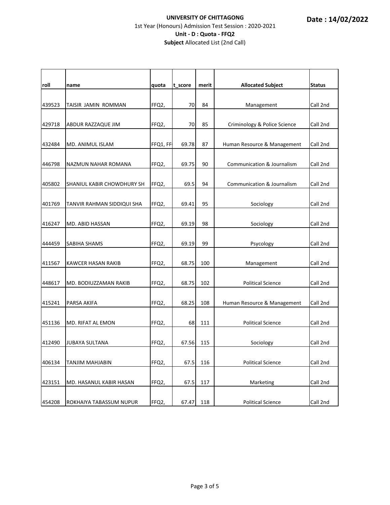| roll   | name                       | quota    | t_score | merit | <b>Allocated Subject</b>              | <b>Status</b> |
|--------|----------------------------|----------|---------|-------|---------------------------------------|---------------|
|        |                            |          |         |       |                                       |               |
| 439523 | TAISIR JAMIN ROMMAN        | FFQ2,    | 70      | 84    | Management                            | Call 2nd      |
| 429718 | ABDUR RAZZAQUE JIM         | FFQ2,    | 70      | 85    | Criminology & Police Science          | Call 2nd      |
| 432484 | MD. ANIMUL ISLAM           | FFQ1, FF | 69.78   | 87    | Human Resource & Management           | Call 2nd      |
| 446798 | NAZMUN NAHAR ROMANA        | FFQ2,    | 69.75   | 90    | <b>Communication &amp; Journalism</b> | Call 2nd      |
| 405802 | SHANIUL KABIR CHOWDHURY SH | FFQ2,    | 69.5    | 94    | Communication & Journalism            | Call 2nd      |
| 401769 | TANVIR RAHMAN SIDDIQUI SHA | FFQ2,    | 69.41   | 95    | Sociology                             | Call 2nd      |
| 416247 | MD. ABID HASSAN            | FFQ2,    | 69.19   | 98    | Sociology                             | Call 2nd      |
| 444459 | SABIHA SHAMS               | FFQ2,    | 69.19   | 99    | Psycology                             | Call 2nd      |
| 411567 | KAWCER HASAN RAKIB         | FFQ2,    | 68.75   | 100   | Management                            | Call 2nd      |
| 448617 | MD. BODIUZZAMAN RAKIB      | FFQ2,    | 68.75   | 102   | <b>Political Science</b>              | Call 2nd      |
| 415241 | PARSA AKIFA                | FFQ2,    | 68.25   | 108   | Human Resource & Management           | Call 2nd      |
| 451136 | MD. RIFAT AL EMON          | FFQ2,    | 68      | 111   | <b>Political Science</b>              | Call 2nd      |
| 412490 | <b>JUBAYA SULTANA</b>      | FFQ2,    | 67.56   | 115   | Sociology                             | Call 2nd      |
| 406134 | <b>TANJIM MAHJABIN</b>     | FFQ2,    | 67.5    | 116   | <b>Political Science</b>              | Call 2nd      |
| 423151 | MD. HASANUL KABIR HASAN    | FFQ2,    | 67.5    | 117   | Marketing                             | Call 2nd      |
| 454208 | ROKHAIYA TABASSUM NUPUR    | FFQ2,    | 67.47   | 118   | <b>Political Science</b>              | Call 2nd      |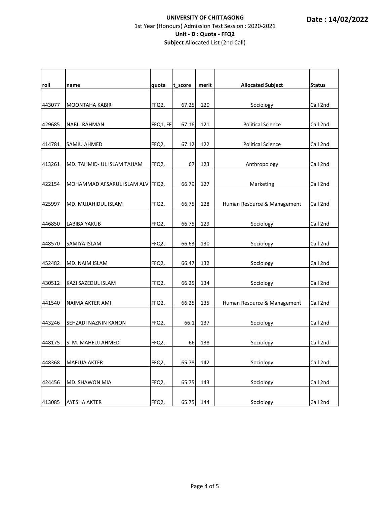| roll   | name                             | quota    | t_score | merit | <b>Allocated Subject</b>    | <b>Status</b> |
|--------|----------------------------------|----------|---------|-------|-----------------------------|---------------|
| 443077 | <b>MOONTAHA KABIR</b>            | FFQ2,    | 67.25   | 120   | Sociology                   | Call 2nd      |
| 429685 | <b>NABIL RAHMAN</b>              | FFQ1, FF | 67.16   | 121   | <b>Political Science</b>    | Call 2nd      |
| 414781 | SAMIU AHMED                      | FFQ2,    | 67.12   | 122   | <b>Political Science</b>    | Call 2nd      |
| 413261 | MD. TAHMID- UL ISLAM TAHAM       | FFQ2,    | 67      | 123   | Anthropology                | Call 2nd      |
| 422154 | MOHAMMAD AFSARUL ISLAM ALV FFQ2, |          | 66.79   | 127   | Marketing                   | Call 2nd      |
| 425997 | MD. MUJAHIDUL ISLAM              | FFQ2,    | 66.75   | 128   | Human Resource & Management | Call 2nd      |
| 446850 | <b>LABIBA YAKUB</b>              | FFQ2,    | 66.75   | 129   | Sociology                   | Call 2nd      |
| 448570 | SAMIYA ISLAM                     | FFQ2,    | 66.63   | 130   | Sociology                   | Call 2nd      |
| 452482 | MD. NAIM ISLAM                   | FFQ2,    | 66.47   | 132   | Sociology                   | Call 2nd      |
| 430512 | KAZI SAZEDUL ISLAM               | FFQ2,    | 66.25   | 134   | Sociology                   | Call 2nd      |
| 441540 | NAIMA AKTER AMI                  | FFQ2,    | 66.25   | 135   | Human Resource & Management | Call 2nd      |
| 443246 | SEHZADI NAZNIN KANON             | FFQ2,    | 66.1    | 137   | Sociology                   | Call 2nd      |
| 448175 | S. M. MAHFUJ AHMED               | FFQ2,    | 66      | 138   | Sociology                   | Call 2nd      |
| 448368 | MAFUJA AKTER                     | FFQ2,    | 65.78   | 142   | Sociology                   | Call 2nd      |
| 424456 | MD. SHAWON MIA                   | FFQ2,    | 65.75   | 143   | Sociology                   | Call 2nd      |
| 413085 | AYESHA AKTER                     | FFQ2,    | 65.75   | 144   | Sociology                   | Call 2nd      |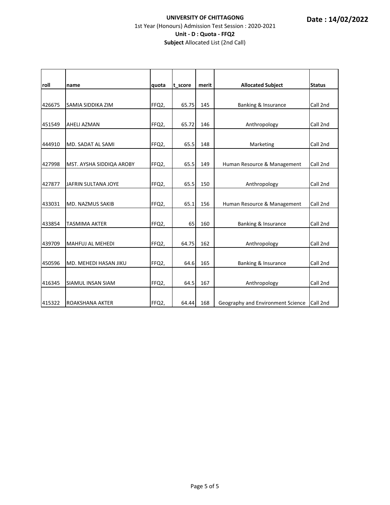| roll   | name                     | quota | t score | merit | <b>Allocated Subject</b>          | <b>Status</b> |
|--------|--------------------------|-------|---------|-------|-----------------------------------|---------------|
| 426675 | SAMIA SIDDIKA ZIM        | FFQ2, | 65.75   | 145   | Banking & Insurance               | Call 2nd      |
| 451549 | <b>AHELI AZMAN</b>       | FFQ2, | 65.72   | 146   | Anthropology                      | Call 2nd      |
| 444910 | MD. SADAT AL SAMI        | FFQ2, | 65.5    | 148   | Marketing                         | Call 2nd      |
| 427998 | MST. AYSHA SIDDIQA AROBY | FFQ2, | 65.5    | 149   | Human Resource & Management       | Call 2nd      |
| 427877 | JAFRIN SULTANA JOYE      | FFQ2, | 65.5    | 150   | Anthropology                      | Call 2nd      |
| 433031 | <b>MD. NAZMUS SAKIB</b>  | FFQ2, | 65.1    | 156   | Human Resource & Management       | Call 2nd      |
| 433854 | <b>TASMIMA AKTER</b>     | FFQ2, | 65      | 160   | Banking & Insurance               | Call 2nd      |
| 439709 | <b>MAHFUJ AL MEHEDI</b>  | FFQ2, | 64.75   | 162   | Anthropology                      | Call 2nd      |
| 450596 | MD. MEHEDI HASAN JIKU    | FFQ2, | 64.6    | 165   | Banking & Insurance               | Call 2nd      |
| 416345 | <b>SIAMUL INSAN SIAM</b> | FFQ2, | 64.5    | 167   | Anthropology                      | Call 2nd      |
| 415322 | <b>ROAKSHANA AKTER</b>   | FFQ2, | 64.44   | 168   | Geography and Environment Science | Call 2nd      |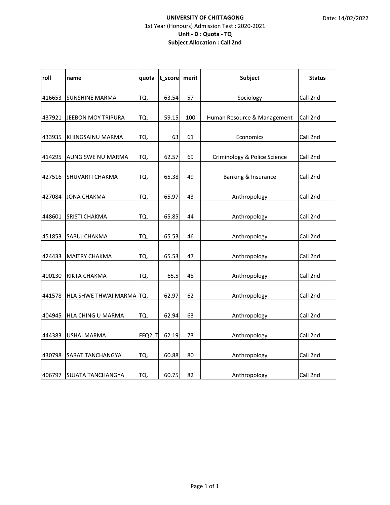#### **UNIVERSITY OF CHITTAGONG** 1st Year (Honours) Admission Test : 2020‐2021 **Unit ‐ D : Quota ‐ TQ Subject Allocation : Call 2nd**

| roll   | name                     | quota   | t_score merit |     | <b>Subject</b>               | <b>Status</b> |
|--------|--------------------------|---------|---------------|-----|------------------------------|---------------|
| 416653 | <b>SUNSHINE MARMA</b>    | TQ,     | 63.54         | 57  | Sociology                    | Call 2nd      |
| 437921 | JEEBON MOY TRIPURA       | TQ,     | 59.15         | 100 | Human Resource & Management  | Call 2nd      |
| 433935 | KHINGSAINU MARMA         | TQ,     | 63            | 61  | Economics                    | Call 2nd      |
| 414295 | AUNG SWE NU MARMA        | TQ,     | 62.57         | 69  | Criminology & Police Science | Call 2nd      |
| 427516 | <b>SHUVARTI CHAKMA</b>   | TQ,     | 65.38         | 49  | Banking & Insurance          | Call 2nd      |
| 427084 | <b>JONA CHAKMA</b>       | TQ,     | 65.97         | 43  | Anthropology                 | Call 2nd      |
| 448601 | SRISTI CHAKMA            | TQ,     | 65.85         | 44  | Anthropology                 | Call 2nd      |
| 451853 | SABUJ CHAKMA             | TQ,     | 65.53         | 46  | Anthropology                 | Call 2nd      |
| 424433 | <b>MAITRY CHAKMA</b>     | TQ,     | 65.53         | 47  | Anthropology                 | Call 2nd      |
| 400130 | RIKTA CHAKMA             | TQ,     | 65.5          | 48  | Anthropology                 | Call 2nd      |
| 441578 | HLA SHWE THWAI MARMA     | ITQ,    | 62.97         | 62  | Anthropology                 | Call 2nd      |
| 404945 | HLA CHING U MARMA        | TQ,     | 62.94         | 63  | Anthropology                 | Call 2nd      |
| 444383 | USHAI MARMA              | FFQ2, T | 62.19         | 73  | Anthropology                 | Call 2nd      |
| 430798 | SARAT TANCHANGYA         | TQ,     | 60.88         | 80  | Anthropology                 | Call 2nd      |
| 406797 | <b>SUJATA TANCHANGYA</b> | TQ,     | 60.75         | 82  | Anthropology                 | Call 2nd      |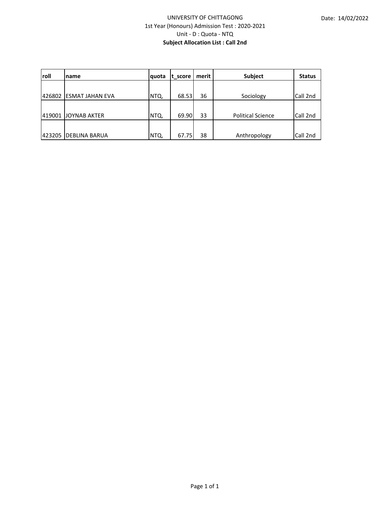#### UNIVERSITY OF CHITTAGONG 1st Year (Honours) Admission Test : 2020‐2021 Unit ‐ D : Quota ‐ NTQ **Subject Allocation List : Call 2nd**

| roll   | Iname                   | quota | t score | merit l | Subject                  | <b>Status</b> |
|--------|-------------------------|-------|---------|---------|--------------------------|---------------|
|        |                         |       |         |         |                          |               |
| 426802 | <b>IESMAT JAHAN EVA</b> | NTQ,  | 68.53   | 36      | Sociology                | Call 2nd      |
|        |                         |       |         |         |                          |               |
| 419001 | <b>JOYNAB AKTER</b>     | NTQ,  | 69.90   | 33      | <b>Political Science</b> | Call 2nd      |
|        |                         |       |         |         |                          |               |
| 423205 | <b>DEBLINA BARUA</b>    | INTQ, | 67.75   | 38      | Anthropology             | Call 2nd      |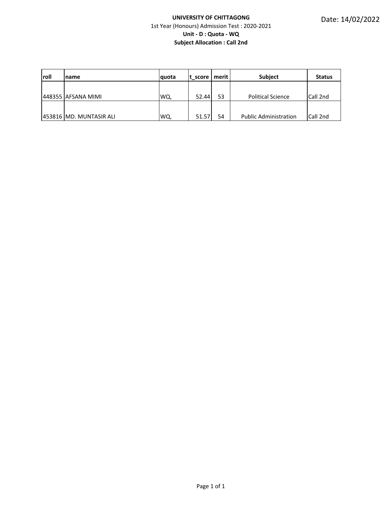#### **UNIVERSITY OF CHITTAGONG** 1st Year (Honours) Admission Test : 2020‐2021 **Unit ‐ D : Quota ‐ WQ Subject Allocation : Call 2nd**

| <b>Iroll</b> | name                      | <b>quota</b> | t score | merit | <b>Subject</b>               | <b>Status</b> |
|--------------|---------------------------|--------------|---------|-------|------------------------------|---------------|
|              |                           |              |         |       |                              |               |
|              | 1448355 AFSANA MIMI       | WQ,          | 52.44   | 53    | <b>Political Science</b>     | Call 2nd      |
|              |                           |              |         |       |                              |               |
|              | 1453816 IMD. MUNTASIR ALI | WQ,          | 51.57   | 54    | <b>Public Administration</b> | Call 2nd      |